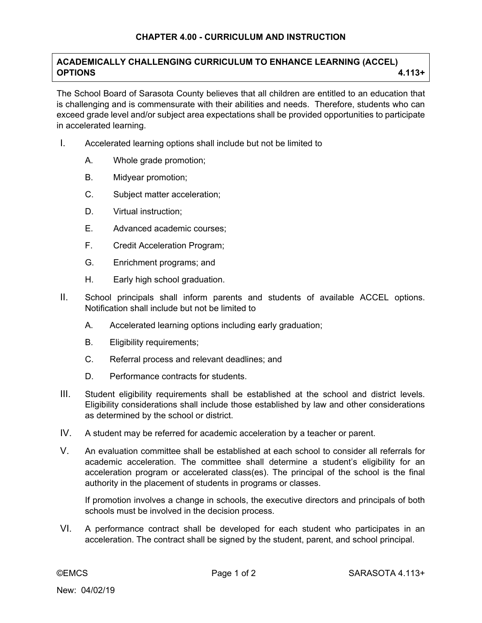## **ACADEMICALLY CHALLENGING CURRICULUM TO ENHANCE LEARNING (ACCEL) OPTIONS 4.113+**

The School Board of Sarasota County believes that all children are entitled to an education that is challenging and is commensurate with their abilities and needs. Therefore, students who can exceed grade level and/or subject area expectations shall be provided opportunities to participate in accelerated learning.

- I. Accelerated learning options shall include but not be limited to
	- A. Whole grade promotion;
	- B. Midyear promotion;
	- C. Subject matter acceleration;
	- D. Virtual instruction;
	- E. Advanced academic courses;
	- F. Credit Acceleration Program;
	- G. Enrichment programs; and
	- H. Early high school graduation.
- II. School principals shall inform parents and students of available ACCEL options. Notification shall include but not be limited to
	- A. Accelerated learning options including early graduation;
	- B. Eligibility requirements;
	- C. Referral process and relevant deadlines; and
	- D. Performance contracts for students.
- III. Student eligibility requirements shall be established at the school and district levels. Eligibility considerations shall include those established by law and other considerations as determined by the school or district.
- IV. A student may be referred for academic acceleration by a teacher or parent.
- V. An evaluation committee shall be established at each school to consider all referrals for academic acceleration. The committee shall determine a student's eligibility for an acceleration program or accelerated class(es). The principal of the school is the final authority in the placement of students in programs or classes.

 If promotion involves a change in schools, the executive directors and principals of both schools must be involved in the decision process.

VI. A performance contract shall be developed for each student who participates in an acceleration. The contract shall be signed by the student, parent, and school principal.